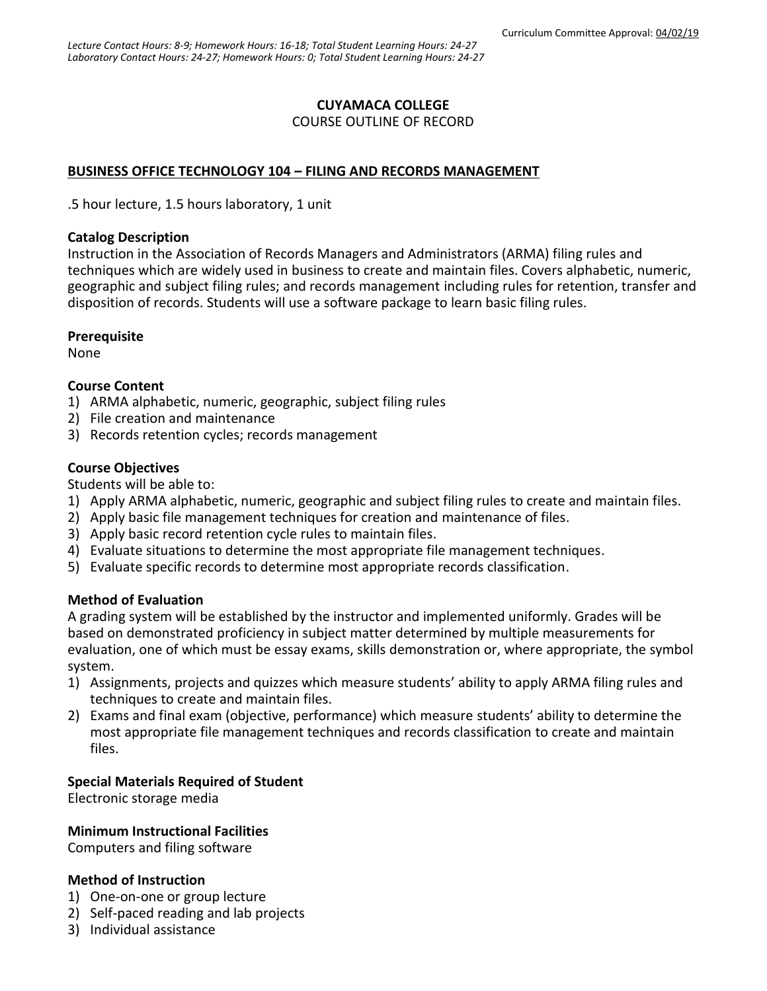# **CUYAMACA COLLEGE**

COURSE OUTLINE OF RECORD

# **BUSINESS OFFICE TECHNOLOGY 104 – FILING AND RECORDS MANAGEMENT**

.5 hour lecture, 1.5 hours laboratory, 1 unit

#### **Catalog Description**

Instruction in the Association of Records Managers and Administrators (ARMA) filing rules and techniques which are widely used in business to create and maintain files. Covers alphabetic, numeric, geographic and subject filing rules; and records management including rules for retention, transfer and disposition of records. Students will use a software package to learn basic filing rules.

## **Prerequisite**

None

## **Course Content**

- 1) ARMA alphabetic, numeric, geographic, subject filing rules
- 2) File creation and maintenance
- 3) Records retention cycles; records management

## **Course Objectives**

Students will be able to:

- 1) Apply ARMA alphabetic, numeric, geographic and subject filing rules to create and maintain files.
- 2) Apply basic file management techniques for creation and maintenance of files.
- 3) Apply basic record retention cycle rules to maintain files.
- 4) Evaluate situations to determine the most appropriate file management techniques.
- 5) Evaluate specific records to determine most appropriate records classification.

#### **Method of Evaluation**

A grading system will be established by the instructor and implemented uniformly. Grades will be based on demonstrated proficiency in subject matter determined by multiple measurements for evaluation, one of which must be essay exams, skills demonstration or, where appropriate, the symbol system.

- 1) Assignments, projects and quizzes which measure students' ability to apply ARMA filing rules and techniques to create and maintain files.
- 2) Exams and final exam (objective, performance) which measure students' ability to determine the most appropriate file management techniques and records classification to create and maintain files.

# **Special Materials Required of Student**

Electronic storage media

#### **Minimum Instructional Facilities**

Computers and filing software

### **Method of Instruction**

- 1) One-on-one or group lecture
- 2) Self-paced reading and lab projects
- 3) Individual assistance